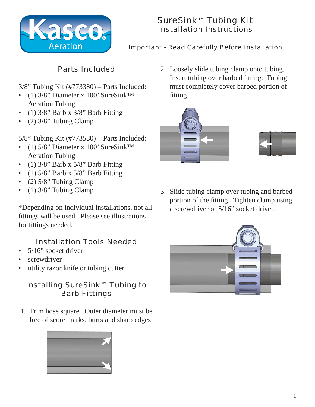

# SureSink™ Tubing Kit Installation Instructions

#### Important - Read Carefully Before Installation

## Parts Included

- 3/8" Tubing Kit (#773380) Parts Included:
- (1) 3/8" Diameter x 100' SureSink<sup>™</sup> Aeration Tubing
- (1)  $3/8$ " Barb x  $3/8$ " Barb Fitting
- (2)  $3/8$ " Tubing Clamp

5/8" Tubing Kit (#773580) – Parts Included:

- (1) 5/8" Diameter x 100' SureSink<sup>™</sup> Aeration Tubing
- (1) 3/8" Barb x 5/8" Barb Fitting
- (1)  $5/8$ " Barb x  $5/8$ " Barb Fitting
- (2)  $5/8$ " Tubing Clamp
- (1)  $3/8$ " Tubing Clamp

\*Depending on individual installations, not all fittings will be used. Please see illustrations for fittings needed.

#### Installation Tools Needed

- 5/16" socket driver
- screwdriver
- utility razor knife or tubing cutter

### Installing SureSink™ Tubing to Barb Fittings

1. Trim hose square. Outer diameter must be free of score marks, burrs and sharp edges.



2. Loosely slide tubing clamp onto tubing. Insert tubing over barbed fitting. Tubing must completely cover barbed portion of fitting.





3. Slide tubing clamp over tubing and barbed portion of the fitting. Tighten clamp using a screwdriver or 5/16" socket driver.